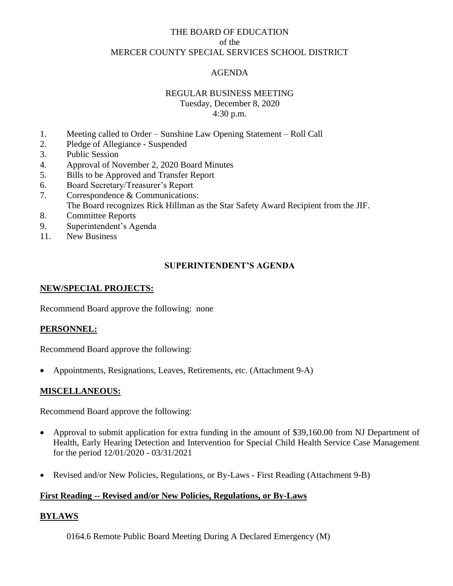# THE BOARD OF EDUCATION of the MERCER COUNTY SPECIAL SERVICES SCHOOL DISTRICT

# AGENDA

# REGULAR BUSINESS MEETING

Tuesday, December 8, 2020 4:30 p.m.

- 1. Meeting called to Order Sunshine Law Opening Statement Roll Call
- 2. Pledge of Allegiance Suspended
- 3. Public Session
- 4. Approval of November 2, 2020 Board Minutes
- 5. Bills to be Approved and Transfer Report
- 6. Board Secretary/Treasurer's Report
- 7. Correspondence & Communications:
- The Board recognizes Rick Hillman as the Star Safety Award Recipient from the JIF.
- 8. Committee Reports
- 9. Superintendent's Agenda
- 11. New Business

# **SUPERINTENDENT'S AGENDA**

#### **NEW/SPECIAL PROJECTS:**

Recommend Board approve the following: none

#### **PERSONNEL:**

Recommend Board approve the following:

• Appointments, Resignations, Leaves, Retirements, etc. (Attachment 9-A)

#### **MISCELLANEOUS:**

Recommend Board approve the following:

- Approval to submit application for extra funding in the amount of \$39,160.00 from NJ Department of Health, Early Hearing Detection and Intervention for Special Child Health Service Case Management for the period 12/01/2020 - 03/31/2021
- Revised and/or New Policies, Regulations, or By-Laws First Reading (Attachment 9-B)

#### **First Reading -- Revised and/or New Policies, Regulations, or By-Laws**

#### **BYLAWS**

0164.6 Remote Public Board Meeting During A Declared Emergency (M)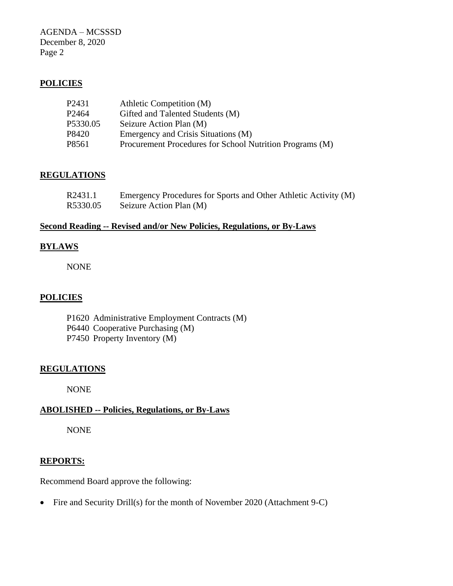AGENDA – MCSSSD December 8, 2020 Page 2

# **POLICIES**

| P2431    | Athletic Competition (M)                                 |
|----------|----------------------------------------------------------|
| P2464    | Gifted and Talented Students (M)                         |
| P5330.05 | Seizure Action Plan (M)                                  |
| P8420    | Emergency and Crisis Situations (M)                      |
| P8561    | Procurement Procedures for School Nutrition Programs (M) |
|          |                                                          |

# **REGULATIONS**

| R2431.1  | Emergency Procedures for Sports and Other Athletic Activity (M) |
|----------|-----------------------------------------------------------------|
| R5330.05 | Seizure Action Plan (M)                                         |

# **Second Reading -- Revised and/or New Policies, Regulations, or By-Laws**

#### **BYLAWS**

NONE

# **POLICIES**

- P1620 Administrative Employment Contracts (M)
- P6440 Cooperative Purchasing (M)
- P7450 Property Inventory (M)

# **REGULATIONS**

NONE

# **ABOLISHED -- Policies, Regulations, or By-Laws**

NONE

#### **REPORTS:**

Recommend Board approve the following:

• Fire and Security Drill(s) for the month of November 2020 (Attachment 9-C)